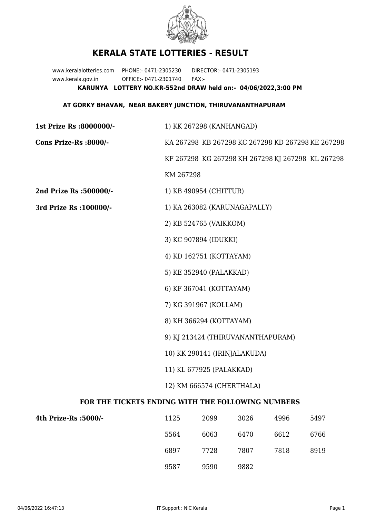

## **KERALA STATE LOTTERIES - RESULT**

www.keralalotteries.com PHONE:- 0471-2305230 DIRECTOR:- 0471-2305193 www.kerala.gov.in OFFICE:- 0471-2301740 FAX:- **KARUNYA LOTTERY NO.KR-552nd DRAW held on:- 04/06/2022,3:00 PM**

## **AT GORKY BHAVAN, NEAR BAKERY JUNCTION, THIRUVANANTHAPURAM**

| 1st Prize Rs :8000000/-                           | 1) KK 267298 (KANHANGAD)                                                                                                                          |                         |                   |       |                                                   |  |
|---------------------------------------------------|---------------------------------------------------------------------------------------------------------------------------------------------------|-------------------------|-------------------|-------|---------------------------------------------------|--|
| Cons Prize-Rs :8000/-                             | KA 267298 KB 267298 KC 267298 KD 267298 KE 267298                                                                                                 |                         |                   |       |                                                   |  |
|                                                   |                                                                                                                                                   |                         |                   |       | KF 267298 KG 267298 KH 267298 KJ 267298 KL 267298 |  |
|                                                   | KM 267298                                                                                                                                         |                         |                   |       |                                                   |  |
| 2nd Prize Rs :500000/-                            |                                                                                                                                                   | 1) KB 490954 (CHITTUR)  |                   |       |                                                   |  |
| 3rd Prize Rs : 100000/-                           | 1) KA 263082 (KARUNAGAPALLY)                                                                                                                      |                         |                   |       |                                                   |  |
|                                                   |                                                                                                                                                   | 2) KB 524765 (VAIKKOM)  |                   |       |                                                   |  |
|                                                   | 3) KC 907894 (IDUKKI)                                                                                                                             |                         |                   |       |                                                   |  |
|                                                   |                                                                                                                                                   | 4) KD 162751 (KOTTAYAM) |                   |       |                                                   |  |
|                                                   |                                                                                                                                                   | 5) KE 352940 (PALAKKAD) |                   |       |                                                   |  |
|                                                   |                                                                                                                                                   | 6) KF 367041 (KOTTAYAM) |                   |       |                                                   |  |
|                                                   | 7) KG 391967 (KOLLAM)<br>8) KH 366294 (KOTTAYAM)<br>9) KJ 213424 (THIRUVANANTHAPURAM)<br>10) KK 290141 (IRINJALAKUDA)<br>11) KL 677925 (PALAKKAD) |                         |                   |       |                                                   |  |
|                                                   |                                                                                                                                                   |                         |                   |       |                                                   |  |
|                                                   |                                                                                                                                                   |                         |                   |       |                                                   |  |
|                                                   |                                                                                                                                                   |                         |                   |       |                                                   |  |
|                                                   |                                                                                                                                                   |                         |                   |       |                                                   |  |
| 12) KM 666574 (CHERTHALA)                         |                                                                                                                                                   |                         |                   |       |                                                   |  |
| FOR THE TICKETS ENDING WITH THE FOLLOWING NUMBERS |                                                                                                                                                   |                         |                   |       |                                                   |  |
| 4th Prize-Rs :5000/-                              | 1125                                                                                                                                              | 2099                    | 3026              | 4996  | 5497                                              |  |
|                                                   | $- - - -$                                                                                                                                         | 0.000                   | $\alpha$ $\alpha$ | 0.010 | $\sim$ $\sim$ $\sim$                              |  |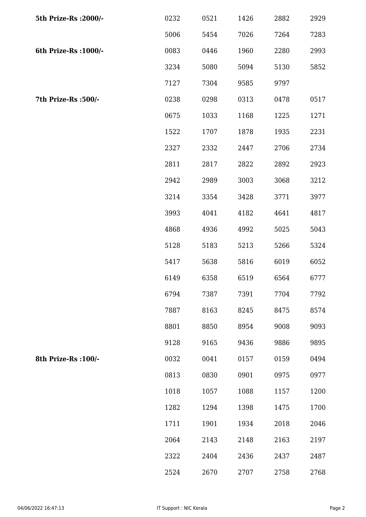| 5th Prize-Rs : 2000/- | 0232 | 0521 | 1426 | 2882 | 2929 |
|-----------------------|------|------|------|------|------|
|                       | 5006 | 5454 | 7026 | 7264 | 7283 |
| 6th Prize-Rs : 1000/- | 0083 | 0446 | 1960 | 2280 | 2993 |
|                       | 3234 | 5080 | 5094 | 5130 | 5852 |
|                       | 7127 | 7304 | 9585 | 9797 |      |
| 7th Prize-Rs :500/-   | 0238 | 0298 | 0313 | 0478 | 0517 |
|                       | 0675 | 1033 | 1168 | 1225 | 1271 |
|                       | 1522 | 1707 | 1878 | 1935 | 2231 |
|                       | 2327 | 2332 | 2447 | 2706 | 2734 |
|                       | 2811 | 2817 | 2822 | 2892 | 2923 |
|                       | 2942 | 2989 | 3003 | 3068 | 3212 |
|                       | 3214 | 3354 | 3428 | 3771 | 3977 |
|                       | 3993 | 4041 | 4182 | 4641 | 4817 |
|                       | 4868 | 4936 | 4992 | 5025 | 5043 |
|                       | 5128 | 5183 | 5213 | 5266 | 5324 |
|                       | 5417 | 5638 | 5816 | 6019 | 6052 |
|                       | 6149 | 6358 | 6519 | 6564 | 6777 |
|                       | 6794 | 7387 | 7391 | 7704 | 7792 |
|                       | 7887 | 8163 | 8245 | 8475 | 8574 |
|                       | 8801 | 8850 | 8954 | 9008 | 9093 |
|                       | 9128 | 9165 | 9436 | 9886 | 9895 |
| 8th Prize-Rs : 100/-  | 0032 | 0041 | 0157 | 0159 | 0494 |
|                       | 0813 | 0830 | 0901 | 0975 | 0977 |
|                       | 1018 | 1057 | 1088 | 1157 | 1200 |
|                       | 1282 | 1294 | 1398 | 1475 | 1700 |
|                       | 1711 | 1901 | 1934 | 2018 | 2046 |
|                       | 2064 | 2143 | 2148 | 2163 | 2197 |
|                       | 2322 | 2404 | 2436 | 2437 | 2487 |
|                       | 2524 | 2670 | 2707 | 2758 | 2768 |